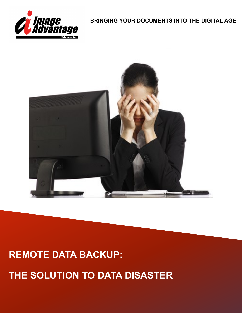

**BRINGING YOUR DOCUMENTS INTO THE DIGITAL AGE**



# **REMOTE DATA BACKUP:**

**THE SOLUTION TO DATA DISASTER**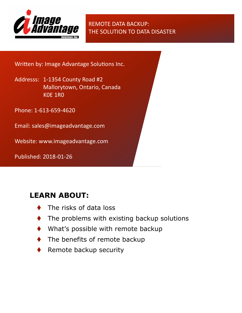

REMOTE DATA BACKUP: THE SOLUTION TO DATA DISASTER

Written by: Image Advantage Solutions Inc.

Addresss: 1-1354 County Road #2 Mallorytown, Ontario, Canada K0E 1R0

Phone: 1-613-659-4620

Email: sales@imageadvantage.com

Website: www.imageadvantage.com

Published: 2018-01-26

### **LEARN ABOUT:**

- The risks of data loss
- The problems with existing backup solutions
- What's possible with remote backup
- The benefits of remote backup
- Remote backup security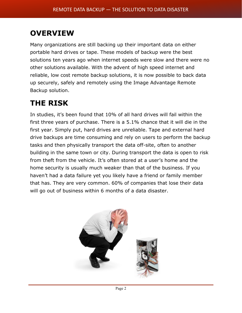### **OVERVIEW**

Many organizations are still backing up their important data on either portable hard drives or tape. These models of backup were the best solutions ten years ago when internet speeds were slow and there were no other solutions available. With the advent of high speed internet and reliable, low cost remote backup solutions, it is now possible to back data up securely, safely and remotely using the Image Advantage Remote Backup solution.

## **THE RISK**

In studies, it's been found that 10% of all hard drives will fail within the first three years of purchase. There is a 5.1% chance that it will die in the first year. Simply put, hard drives are unreliable. Tape and external hard drive backups are time consuming and rely on users to perform the backup tasks and then physically transport the data off-site, often to another building in the same town or city. During transport the data is open to risk from theft from the vehicle. It's often stored at a user's home and the home security is usually much weaker than that of the business. If you haven't had a data failure yet you likely have a friend or family member that has. They are very common. 60% of companies that lose their data will go out of business within 6 months of a data disaster.

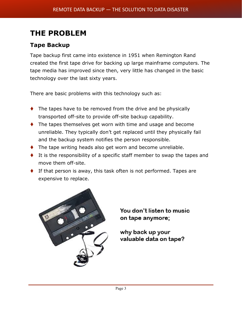## **THE PROBLEM**

#### **Tape Backup**

Tape backup first came into existence in 1951 when Remington Rand created the first tape drive for backing up large mainframe computers. The tape media has improved since then, very little has changed in the basic technology over the last sixty years.

There are basic problems with this technology such as:

- $\blacklozenge$  The tapes have to be removed from the drive and be physically transported off-site to provide off-site backup capability.
- ◆ The tapes themselves get worn with time and usage and become unreliable. They typically don't get replaced until they physically fail and the backup system notifies the person responsible.
- ◆ The tape writing heads also get worn and become unreliable.
- It is the responsibility of a specific staff member to swap the tapes and move them off-site.
- $\bullet$  If that person is away, this task often is not performed. Tapes are expensive to replace.



You don't listen to music on tape anymore;

why back up your valuable data on tape?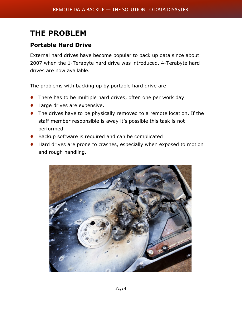## **THE PROBLEM**

#### **Portable Hard Drive**

External hard drives have become popular to back up data since about 2007 when the 1-Terabyte hard drive was introduced. 4-Terabyte hard drives are now available.

The problems with backing up by portable hard drive are:

- ◆ There has to be multiple hard drives, often one per work day.
- **Large drives are expensive.**
- ◆ The drives have to be physically removed to a remote location. If the staff member responsible is away it's possible this task is not performed.
- Backup software is required and can be complicated
- Hard drives are prone to crashes, especially when exposed to motion and rough handling.

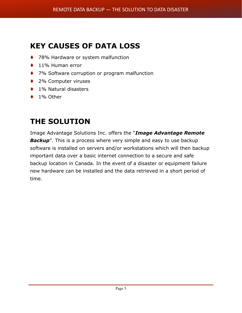# **KEY CAUSES OF DATA LOSS**

- ◆ 78% Hardware or system malfunction
- ◆ 11% Human error
- ◆ 7% Software corruption or program malfunction
- ◆ 2% Computer viruses
- ◆ 1% Natural disasters
- $\bullet$  1% Other

# **THE SOLUTION**

Image Advantage Solutions Inc. offers the "*Image Advantage Remote*  **Backup**". This is a process where very simple and easy to use backup software is installed on servers and/or workstations which will then backup important data over a basic internet connection to a secure and safe backup location in Canada. In the event of a disaster or equipment failure new hardware can be installed and the data retrieved in a short period of time.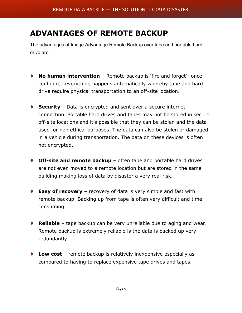## **ADVANTAGES OF REMOTE BACKUP**

The advantages of Image Advantage Remote Backup over tape and portable hard drive are:

- ◆ **No human intervention** Remote backup is 'fire and forget'; once configured everything happens automatically whereby tape and hard drive require physical transportation to an off-site location.
- ◆ **Security** Data is encrypted and sent over a secure internet connection. Portable hard drives and tapes may not be stored in secure off-site locations and it's possible that they can be stolen and the data used for non ethical purposes. The data can also be stolen or damaged in a vehicle during transportation. The data on these devices is often not encrypted**.**
- ◆ **Off-site and remote backup** often tape and portable hard drives are not even moved to a remote location but are stored in the same building making loss of data by disaster a very real risk.
- ◆ **Easy of recovery** recovery of data is very simple and fast with remote backup. Backing up from tape is often very difficult and time consuming.
- ◆ **Reliable** tape backup can be very unreliable due to aging and wear. Remote backup is extremely reliable is the data is backed up very redundantly.
- ◆ Low cost remote backup is relatively inexpensive especially as compared to having to replace expensive tape drives and tapes.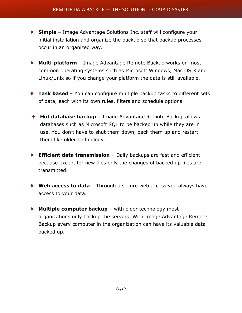- ◆ **Simple** Image Advantage Solutions Inc. staff will configure your initial installation and organize the backup so that backup processes occur in an organized way.
- **Multi-platform** Image Advantage Remote Backup works on most common operating systems such as Microsoft Windows, Mac OS X and Linux/Unix so if you change your platform the data is still available.
- ◆ Task based You can configure multiple backup tasks to different sets of data, each with its own rules, filters and schedule options.
- ◆ Hot database backup Image Advantage Remote Backup allows databases such as Microsoft SQL to be backed up while they are in use. You don't have to shut them down, back them up and restart them like older technology.
- **Efficient data transmission** Daily backups are fast and efficient because except for new files only the changes of backed up files are transmitted.
- ◆ Web access to data Through a secure web access you always have access to your data.
- ◆ **Multiple computer backup** with older technology most organizations only backup the servers. With Image Advantage Remote Backup every computer in the organization can have its valuable data backed up.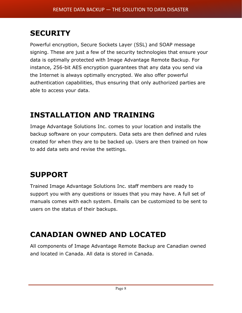# **SECURITY**

Powerful encryption, Secure Sockets Layer (SSL) and SOAP message signing. These are just a few of the security technologies that ensure your data is optimally protected with Image Advantage Remote Backup. For instance, 256-bit AES encryption guarantees that any data you send via the Internet is always optimally encrypted. We also offer powerful authentication capabilities, thus ensuring that only authorized parties are able to access your data.

# **INSTALLATION AND TRAINING**

Image Advantage Solutions Inc. comes to your location and installs the backup software on your computers. Data sets are then defined and rules created for when they are to be backed up. Users are then trained on how to add data sets and revise the settings.

# **SUPPORT**

Trained Image Advantage Solutions Inc. staff members are ready to support you with any questions or issues that you may have. A full set of manuals comes with each system. Emails can be customized to be sent to users on the status of their backups.

# **CANADIAN OWNED AND LOCATED**

All components of Image Advantage Remote Backup are Canadian owned and located in Canada. All data is stored in Canada.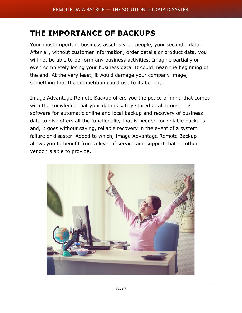## **THE IMPORTANCE OF BACKUPS**

Your most important business asset is your people, your second… data. After all, without customer information, order details or product data, you will not be able to perform any business activities. Imagine partially or even completely losing your business data. It could mean the beginning of the end. At the very least, it would damage your company image, something that the competition could use to its benefit.

Image Advantage Remote Backup offers you the peace of mind that comes with the knowledge that your data is safely stored at all times. This software for automatic online and local backup and recovery of business data to disk offers all the functionality that is needed for reliable backups and, it goes without saying, reliable recovery in the event of a system failure or disaster. Added to which, Image Advantage Remote Backup allows you to benefit from a level of service and support that no other vendor is able to provide.